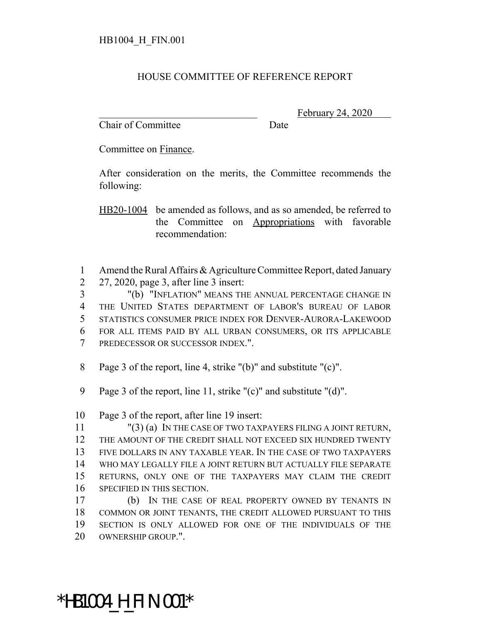## HOUSE COMMITTEE OF REFERENCE REPORT

Chair of Committee Date

February 24, 2020

Committee on Finance.

After consideration on the merits, the Committee recommends the following:

HB20-1004 be amended as follows, and as so amended, be referred to the Committee on Appropriations with favorable recommendation:

 Amend the Rural Affairs & Agriculture Committee Report, dated January 27, 2020, page 3, after line 3 insert:

 "(b) "INFLATION" MEANS THE ANNUAL PERCENTAGE CHANGE IN THE UNITED STATES DEPARTMENT OF LABOR'S BUREAU OF LABOR STATISTICS CONSUMER PRICE INDEX FOR DENVER-AURORA-LAKEWOOD FOR ALL ITEMS PAID BY ALL URBAN CONSUMERS, OR ITS APPLICABLE PREDECESSOR OR SUCCESSOR INDEX.".

Page 3 of the report, line 4, strike "(b)" and substitute "(c)".

Page 3 of the report, line 11, strike "(c)" and substitute "(d)".

Page 3 of the report, after line 19 insert:

 "(3) (a) IN THE CASE OF TWO TAXPAYERS FILING A JOINT RETURN, THE AMOUNT OF THE CREDIT SHALL NOT EXCEED SIX HUNDRED TWENTY FIVE DOLLARS IN ANY TAXABLE YEAR. IN THE CASE OF TWO TAXPAYERS WHO MAY LEGALLY FILE A JOINT RETURN BUT ACTUALLY FILE SEPARATE RETURNS, ONLY ONE OF THE TAXPAYERS MAY CLAIM THE CREDIT SPECIFIED IN THIS SECTION.

 (b) IN THE CASE OF REAL PROPERTY OWNED BY TENANTS IN COMMON OR JOINT TENANTS, THE CREDIT ALLOWED PURSUANT TO THIS SECTION IS ONLY ALLOWED FOR ONE OF THE INDIVIDUALS OF THE OWNERSHIP GROUP.".

## \*HB1004\_H\_FIN.001\*